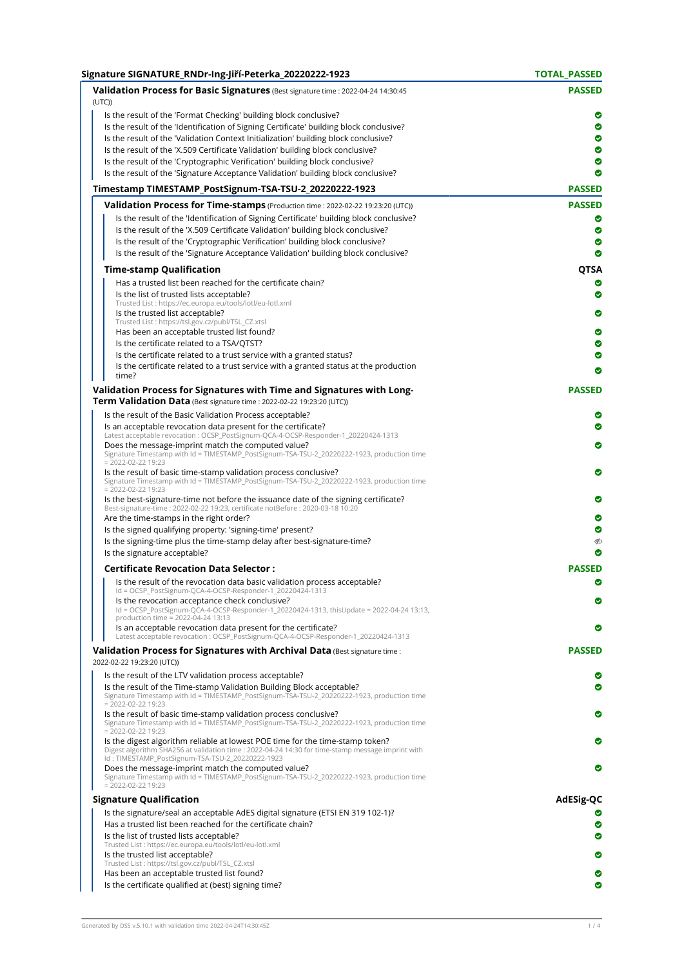| Signature SIGNATURE RNDr-Ing-Jiří-Peterka 20220222-1923                                                                                                                                                                                | <b>TOTAL PASSED</b> |
|----------------------------------------------------------------------------------------------------------------------------------------------------------------------------------------------------------------------------------------|---------------------|
| Validation Process for Basic Signatures (Best signature time : 2022-04-24 14:30:45<br>(UTC)                                                                                                                                            | <b>PASSED</b>       |
| Is the result of the 'Format Checking' building block conclusive?                                                                                                                                                                      | ◎                   |
| Is the result of the 'Identification of Signing Certificate' building block conclusive?                                                                                                                                                | ◎                   |
| Is the result of the 'Validation Context Initialization' building block conclusive?                                                                                                                                                    | ◎                   |
| Is the result of the 'X.509 Certificate Validation' building block conclusive?                                                                                                                                                         | ◎                   |
| Is the result of the 'Cryptographic Verification' building block conclusive?                                                                                                                                                           | ◎                   |
| Is the result of the 'Signature Acceptance Validation' building block conclusive?                                                                                                                                                      | ◎                   |
| Timestamp TIMESTAMP_PostSignum-TSA-TSU-2_20220222-1923                                                                                                                                                                                 | <b>PASSED</b>       |
| Validation Process for Time-stamps (Production time : 2022-02-22 19:23:20 (UTC))                                                                                                                                                       | <b>PASSED</b>       |
| Is the result of the 'Identification of Signing Certificate' building block conclusive?                                                                                                                                                | ◎                   |
| Is the result of the 'X.509 Certificate Validation' building block conclusive?                                                                                                                                                         | ◉                   |
| Is the result of the 'Cryptographic Verification' building block conclusive?                                                                                                                                                           | ◎                   |
| Is the result of the 'Signature Acceptance Validation' building block conclusive?                                                                                                                                                      | Ø                   |
| <b>Time-stamp Qualification</b>                                                                                                                                                                                                        | QTSA                |
| Has a trusted list been reached for the certificate chain?                                                                                                                                                                             | Ø                   |
| Is the list of trusted lists acceptable?                                                                                                                                                                                               | ◎                   |
| Trusted List : https://ec.europa.eu/tools/lotl/eu-lotl.xml                                                                                                                                                                             |                     |
| Is the trusted list acceptable?                                                                                                                                                                                                        | ◎                   |
| Trusted List : https://tsl.gov.cz/publ/TSL_CZ.xtsl                                                                                                                                                                                     |                     |
| Has been an acceptable trusted list found?                                                                                                                                                                                             | Ø                   |
| Is the certificate related to a TSA/QTST?                                                                                                                                                                                              | ◎                   |
| Is the certificate related to a trust service with a granted status?                                                                                                                                                                   | Ø                   |
| Is the certificate related to a trust service with a granted status at the production<br>time?                                                                                                                                         | Ø                   |
| Validation Process for Signatures with Time and Signatures with Long-                                                                                                                                                                  | <b>PASSED</b>       |
| Term Validation Data (Best signature time : 2022-02-22 19:23:20 (UTC))                                                                                                                                                                 |                     |
| Is the result of the Basic Validation Process acceptable?                                                                                                                                                                              | ◎                   |
| Is an acceptable revocation data present for the certificate?                                                                                                                                                                          | ◎                   |
| Latest acceptable revocation : OCSP_PostSignum-QCA-4-OCSP-Responder-1_20220424-1313<br>Does the message-imprint match the computed value?                                                                                              | ◎                   |
| Signature Timestamp with Id = TIMESTAMP_PostSignum-TSA-TSU-2_20220222-1923, production time<br>$= 2022 - 02 - 2219:23$                                                                                                                 |                     |
| Is the result of basic time-stamp validation process conclusive?<br>Signature Timestamp with Id = TIMESTAMP_PostSignum-TSA-TSU-2_20220222-1923, production time<br>$= 2022 - 02 - 2219:23$                                             | Ø                   |
| Is the best-signature-time not before the issuance date of the signing certificate?<br>Best-signature-time: 2022-02-22 19:23, certificate notBefore: 2020-03-18 10:20                                                                  | ◎                   |
| Are the time-stamps in the right order?                                                                                                                                                                                                | ◎                   |
| Is the signed qualifying property: 'signing-time' present?                                                                                                                                                                             | ◎                   |
| Is the signing-time plus the time-stamp delay after best-signature-time?<br>Is the signature acceptable?                                                                                                                               | D<br>◎              |
| <b>Certificate Revocation Data Selector:</b>                                                                                                                                                                                           | <b>PASSED</b>       |
| Is the result of the revocation data basic validation process acceptable?                                                                                                                                                              | Ø                   |
| Id = OCSP_PostSignum-QCA-4-OCSP-Responder-1_20220424-1313<br>Is the revocation acceptance check conclusive?<br>Id = OCSP_PostSignum-QCA-4-OCSP-Responder-1_20220424-1313, thisUpdate = 2022-04-24 13:13,                               | ◎                   |
| production time = 2022-04-24 13:13<br>Is an acceptable revocation data present for the certificate?                                                                                                                                    | ◎                   |
| Latest acceptable revocation : OCSP_PostSignum-QCA-4-OCSP-Responder-1_20220424-1313                                                                                                                                                    |                     |
| <b>Validation Process for Signatures with Archival Data</b> (Best signature time:<br>2022-02-22 19:23:20 (UTC))                                                                                                                        | <b>PASSED</b>       |
| Is the result of the LTV validation process acceptable?                                                                                                                                                                                | ◎                   |
| Is the result of the Time-stamp Validation Building Block acceptable?<br>Signature Timestamp with Id = TIMESTAMP_PostSignum-TSA-TSU-2_20220222-1923, production time<br>$= 2022 - 02 - 2219:23$                                        | ◎                   |
| Is the result of basic time-stamp validation process conclusive?<br>Signature Timestamp with Id = TIMESTAMP_PostSignum-TSA-TSU-2_20220222-1923, production time<br>$= 2022 - 02 - 2219:23$                                             | ◎                   |
| Is the digest algorithm reliable at lowest POE time for the time-stamp token?<br>Digest algorithm SHA256 at validation time : 2022-04-24 14:30 for time-stamp message imprint with<br>Id: TIMESTAMP_PostSignum-TSA-TSU-2_20220222-1923 | ◎                   |
| Does the message-imprint match the computed value?<br>Signature Timestamp with Id = TIMESTAMP_PostSignum-TSA-TSU-2_20220222-1923, production time                                                                                      | ◎                   |
| $= 2022 - 02 - 2219:23$<br><b>Signature Qualification</b>                                                                                                                                                                              | AdESig-QC           |
|                                                                                                                                                                                                                                        |                     |
| Is the signature/seal an acceptable AdES digital signature (ETSI EN 319 102-1)?                                                                                                                                                        | Ø                   |
| Has a trusted list been reached for the certificate chain?                                                                                                                                                                             | ◎                   |
| Is the list of trusted lists acceptable?<br>Trusted List : https://ec.europa.eu/tools/lotl/eu-lotl.xml                                                                                                                                 | ◎                   |
| Is the trusted list acceptable?                                                                                                                                                                                                        | ◎                   |
| Trusted List : https://tsl.gov.cz/publ/TSL_CZ.xtsl                                                                                                                                                                                     |                     |
| Has been an acceptable trusted list found?                                                                                                                                                                                             | ◎                   |
| Is the certificate qualified at (best) signing time?                                                                                                                                                                                   | ◎                   |
|                                                                                                                                                                                                                                        |                     |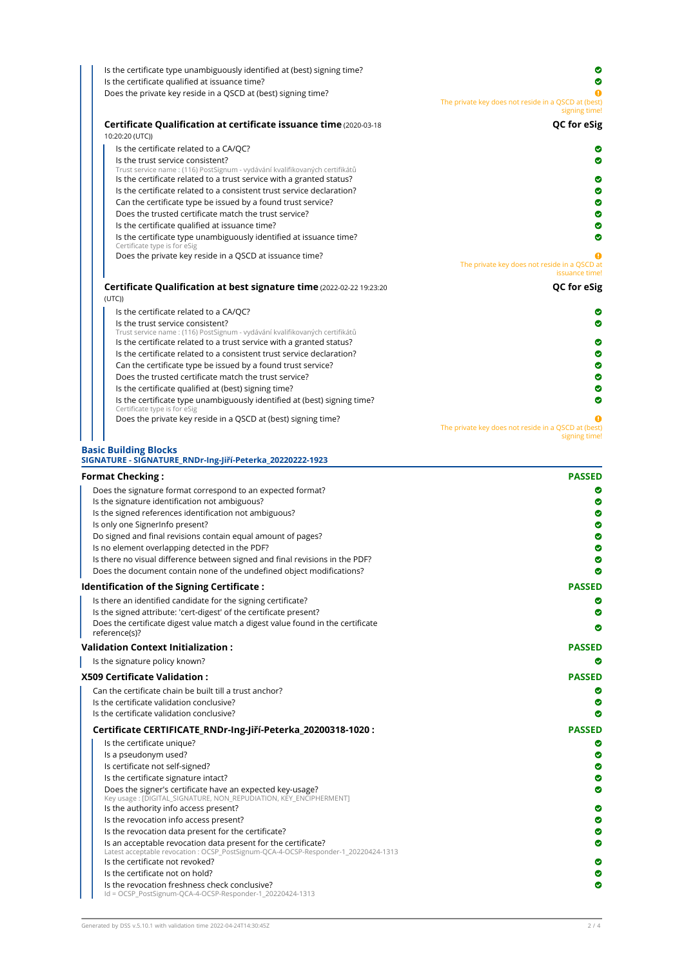| Is the certificate type unambiguously identified at (best) signing time?                                 | Ø                                                                    |
|----------------------------------------------------------------------------------------------------------|----------------------------------------------------------------------|
| Is the certificate qualified at issuance time?                                                           |                                                                      |
| Does the private key reside in a QSCD at (best) signing time?                                            | The private key does not reside in a QSCD at (best)<br>signing time! |
| Certificate Qualification at certificate issuance time (2020-03-18)<br>10:20:20 (UTC))                   | QC for eSig                                                          |
| Is the certificate related to a CA/QC?                                                                   |                                                                      |
| Is the trust service consistent?                                                                         | ◎                                                                    |
| Trust service name : (116) PostSignum - vydávání kvalifikovaných certifikátů                             |                                                                      |
| Is the certificate related to a trust service with a granted status?                                     | Ø                                                                    |
| Is the certificate related to a consistent trust service declaration?                                    | Ø                                                                    |
| Can the certificate type be issued by a found trust service?                                             | ◎                                                                    |
| Does the trusted certificate match the trust service?                                                    | Ø                                                                    |
| Is the certificate qualified at issuance time?                                                           | ◎                                                                    |
| Is the certificate type unambiguously identified at issuance time?<br>Certificate type is for eSig       | Ø                                                                    |
| Does the private key reside in a QSCD at issuance time?                                                  |                                                                      |
|                                                                                                          | The private key does not reside in a QSCD at<br>issuance time!       |
| Certificate Qualification at best signature time (2022-02-22 19:23:20)<br>(UTC)                          | QC for eSig                                                          |
| Is the certificate related to a CA/QC?                                                                   |                                                                      |
| Is the trust service consistent?                                                                         | Θ                                                                    |
| Trust service name : (116) PostSignum - vydávání kvalifikovaných certifikátů                             |                                                                      |
| Is the certificate related to a trust service with a granted status?                                     | ◎                                                                    |
| Is the certificate related to a consistent trust service declaration?                                    | ◉                                                                    |
| Can the certificate type be issued by a found trust service?                                             | ◉                                                                    |
| Does the trusted certificate match the trust service?                                                    | Ø                                                                    |
| Is the certificate qualified at (best) signing time?                                                     | Ø                                                                    |
| Is the certificate type unambiguously identified at (best) signing time?<br>Certificate type is for eSig | Θ                                                                    |
| Does the private key reside in a QSCD at (best) signing time?                                            |                                                                      |
|                                                                                                          | The private key does not reside in a QSCD at (best)<br>signing time! |
| <b>Basic Building Blocks</b>                                                                             |                                                                      |
| SIGNATURE - SIGNATURE_RNDr-Ing-Jiří-Peterka_20220222-1923                                                |                                                                      |
|                                                                                                          |                                                                      |

| <b>Format Checking:</b>                                                                                                                              | <b>PASSED</b> |
|------------------------------------------------------------------------------------------------------------------------------------------------------|---------------|
| Does the signature format correspond to an expected format?                                                                                          |               |
| Is the signature identification not ambiguous?                                                                                                       |               |
| Is the signed references identification not ambiguous?                                                                                               | Ø             |
| Is only one SignerInfo present?                                                                                                                      | ◎             |
| Do signed and final revisions contain equal amount of pages?                                                                                         | ◎             |
| Is no element overlapping detected in the PDF?                                                                                                       | ◎             |
| Is there no visual difference between signed and final revisions in the PDF?                                                                         | ◎             |
| Does the document contain none of the undefined object modifications?                                                                                |               |
| Identification of the Signing Certificate:                                                                                                           | <b>PASSED</b> |
| Is there an identified candidate for the signing certificate?                                                                                        |               |
| Is the signed attribute: 'cert-digest' of the certificate present?                                                                                   |               |
| Does the certificate digest value match a digest value found in the certificate<br>reference(s)?                                                     | Ø             |
| <b>Validation Context Initialization:</b>                                                                                                            | <b>PASSED</b> |
| Is the signature policy known?                                                                                                                       |               |
| <b>X509 Certificate Validation:</b>                                                                                                                  | <b>PASSED</b> |
| Can the certificate chain be built till a trust anchor?                                                                                              | Ø             |
| Is the certificate validation conclusive?                                                                                                            | Ø             |
| Is the certificate validation conclusive?                                                                                                            | Ø             |
| Certificate CERTIFICATE_RNDr-Ing-Jiří-Peterka_20200318-1020 :                                                                                        | <b>PASSED</b> |
| Is the certificate unique?                                                                                                                           |               |
| Is a pseudonym used?                                                                                                                                 | Ø             |
| Is certificate not self-signed?                                                                                                                      | Ø             |
| Is the certificate signature intact?                                                                                                                 | Ø             |
| Does the signer's certificate have an expected key-usage?<br>Key usage: [DIGITAL_SIGNATURE, NON_REPUDIATION, KEY_ENCIPHERMENT]                       | ◎             |
| Is the authority info access present?                                                                                                                | ◎             |
| Is the revocation info access present?                                                                                                               | ◎             |
| Is the revocation data present for the certificate?                                                                                                  | Ø             |
| Is an acceptable revocation data present for the certificate?<br>Latest acceptable revocation : OCSP_PostSignum-QCA-4-OCSP-Responder-1_20220424-1313 | ◎             |
| Is the certificate not revoked?                                                                                                                      | Ø             |
| Is the certificate not on hold?                                                                                                                      | ◎             |
| Is the revocation freshness check conclusive?<br>Id = OCSP_PostSignum-QCA-4-OCSP-Responder-1_20220424-1313                                           | ◎             |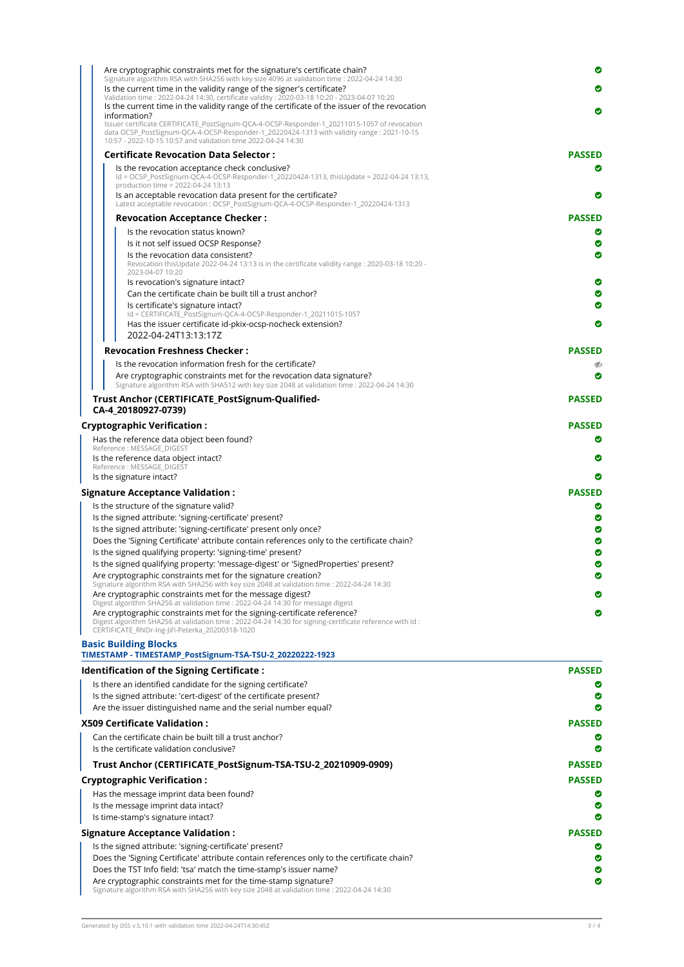| Are cryptographic constraints met for the signature's certificate chain?                                                                                     | ◎             |
|--------------------------------------------------------------------------------------------------------------------------------------------------------------|---------------|
| Signature algorithm RSA with SHA256 with key size 4096 at validation time : 2022-04-24 14:30                                                                 |               |
| Is the current time in the validity range of the signer's certificate?                                                                                       | ◎             |
| Validation time: 2022-04-24 14:30, certificate validity: 2020-03-18 10:20 - 2023-04-07 10:20                                                                 |               |
| Is the current time in the validity range of the certificate of the issuer of the revocation<br>information?                                                 | ◎             |
| Issuer certificate CERTIFICATE_PostSignum-QCA-4-OCSP-Responder-1_20211015-1057 of revocation                                                                 |               |
| data OCSP_PostSignum-QCA-4-OCSP-Responder-1_20220424-1313 with validity range : 2021-10-15<br>10:57 - 2022-10-15 10:57 and validation time 2022-04-24 14:30  |               |
| <b>Certificate Revocation Data Selector:</b>                                                                                                                 | <b>PASSED</b> |
| Is the revocation acceptance check conclusive?                                                                                                               | ◎             |
| ld = OCSP_PostSignum-QCA-4-OCSP-Responder-1_20220424-1313, thisUpdate = 2022-04-24 13:13,                                                                    |               |
| production time = 2022-04-24 13:13                                                                                                                           |               |
| Is an acceptable revocation data present for the certificate?<br>Latest acceptable revocation : OCSP_PostSignum-QCA-4-OCSP-Responder-1_20220424-1313         | Ø             |
|                                                                                                                                                              |               |
| <b>Revocation Acceptance Checker:</b>                                                                                                                        | <b>PASSED</b> |
| Is the revocation status known?                                                                                                                              |               |
| Is it not self issued OCSP Response?                                                                                                                         | Ø             |
| Is the revocation data consistent?                                                                                                                           | ◎             |
| Revocation this Update 2022-04-24 13:13 is in the certificate validity range : 2020-03-18 10:20 -                                                            |               |
| 2023-04-07 10:20<br>Is revocation's signature intact?                                                                                                        | Ø             |
| Can the certificate chain be built till a trust anchor?                                                                                                      | ◎             |
|                                                                                                                                                              | ◎             |
| Is certificate's signature intact?<br>Id = CERTIFICATE_PostSignum-QCA-4-OCSP-Responder-1_20211015-1057                                                       |               |
| Has the issuer certificate id-pkix-ocsp-nocheck extension?                                                                                                   | Ø             |
| 2022-04-24T13:13:17Z                                                                                                                                         |               |
| <b>Revocation Freshness Checker:</b>                                                                                                                         |               |
|                                                                                                                                                              | <b>PASSED</b> |
| Is the revocation information fresh for the certificate?                                                                                                     | D             |
| Are cryptographic constraints met for the revocation data signature?                                                                                         | Ø             |
| Signature algorithm RSA with SHA512 with key size 2048 at validation time : 2022-04-24 14:30                                                                 |               |
| Trust Anchor (CERTIFICATE PostSignum-Qualified-<br>CA-4 20180927-0739)                                                                                       | <b>PASSED</b> |
| <b>Cryptographic Verification:</b>                                                                                                                           | <b>PASSED</b> |
| Has the reference data object been found?                                                                                                                    | Ø             |
| Reference : MESSAGE DIGEST                                                                                                                                   |               |
| Is the reference data object intact?                                                                                                                         | Ø             |
| Reference: MESSAGE_DIGEST<br>Is the signature intact?                                                                                                        | ◎             |
|                                                                                                                                                              |               |
| <b>Signature Acceptance Validation:</b>                                                                                                                      | <b>PASSED</b> |
| Is the structure of the signature valid?                                                                                                                     | Ø             |
| Is the signed attribute: 'signing-certificate' present?                                                                                                      | ◎             |
| Is the signed attribute: 'signing-certificate' present only once?                                                                                            | ◉             |
| Does the 'Signing Certificate' attribute contain references only to the certificate chain?                                                                   | Ø             |
| Is the signed qualifying property: 'signing-time' present?                                                                                                   | ◎             |
| Is the signed qualifying property: 'message-digest' or 'SignedProperties' present?                                                                           | ◓             |
| Are cryptographic constraints met for the signature creation?                                                                                                |               |
| Signature algorithm RSA with SHA256 with key size 2048 at validation time : 2022-04-24 14:30                                                                 |               |
| Are cryptographic constraints met for the message digest?                                                                                                    |               |
| Digest algorithm SHA256 at validation time : 2022-04-24 14:30 for message digest<br>Are cryptographic constraints met for the signing-certificate reference? | ◎             |
| Digest algorithm SHA256 at validation time : 2022-04-24 14:30 for signing-certificate reference with ld :                                                    |               |
| CERTIFICATE RNDr-Ing-Jiří-Peterka 20200318-1020                                                                                                              |               |
| <b>Basic Building Blocks</b>                                                                                                                                 |               |
| TIMESTAMP - TIMESTAMP_PostSignum-TSA-TSU-2_20220222-1923                                                                                                     |               |
| Identification of the Signing Certificate:                                                                                                                   | <b>PASSED</b> |
| Is there an identified candidate for the signing certificate?                                                                                                | Ø             |
| Is the signed attribute: 'cert-digest' of the certificate present?                                                                                           | Ø             |
| Are the issuer distinguished name and the serial number equal?                                                                                               |               |
|                                                                                                                                                              |               |
| <b>X509 Certificate Validation :</b>                                                                                                                         | <b>PASSED</b> |
| Can the certificate chain be built till a trust anchor?                                                                                                      |               |
| Is the certificate validation conclusive?                                                                                                                    |               |
| Trust Anchor (CERTIFICATE_PostSignum-TSA-TSU-2_20210909-0909)                                                                                                | <b>PASSED</b> |
|                                                                                                                                                              |               |

| <b>Cryptographic Verification:</b>                                                                                                                              | <b>PASSED</b> |
|-----------------------------------------------------------------------------------------------------------------------------------------------------------------|---------------|
| Has the message imprint data been found?                                                                                                                        |               |
| Is the message imprint data intact?                                                                                                                             |               |
| Is time-stamp's signature intact?                                                                                                                               | ø             |
| <b>Signature Acceptance Validation:</b>                                                                                                                         | <b>PASSED</b> |
| Is the signed attribute: 'signing-certificate' present?                                                                                                         | ø             |
| Does the 'Signing Certificate' attribute contain references only to the certificate chain?                                                                      |               |
| Does the TST Info field: 'tsa' match the time-stamp's issuer name?                                                                                              | ø             |
| Are cryptographic constraints met for the time-stamp signature?<br>Signature algorithm RSA with SHA256 with key size 2048 at validation time : 2022-04-24 14:30 |               |